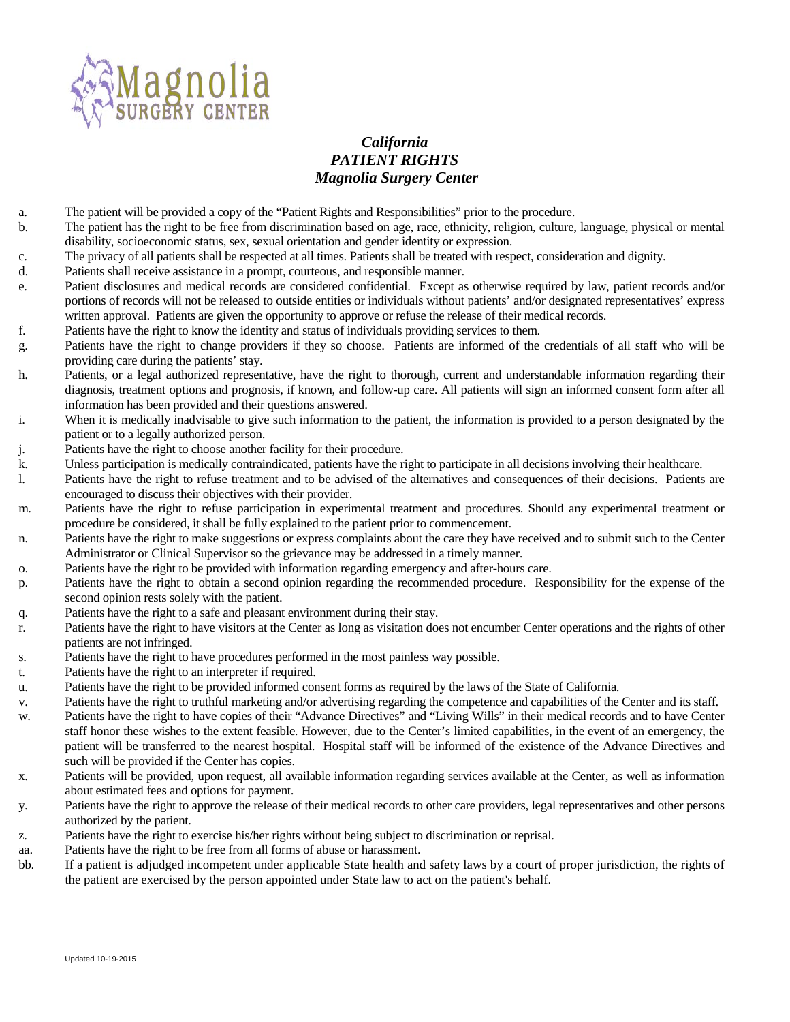

## *California PATIENT RIGHTS Magnolia Surgery Center*

- a. The patient will be provided a copy of the "Patient Rights and Responsibilities" prior to the procedure.
- b. The patient has the right to be free from discrimination based on age, race, ethnicity, religion, culture, language, physical or mental disability, socioeconomic status, sex, sexual orientation and gender identity or expression.
- c. The privacy of all patients shall be respected at all times. Patients shall be treated with respect, consideration and dignity.
- d. Patients shall receive assistance in a prompt, courteous, and responsible manner.
- e. Patient disclosures and medical records are considered confidential. Except as otherwise required by law, patient records and/or portions of records will not be released to outside entities or individuals without patients' and/or designated representatives' express written approval. Patients are given the opportunity to approve or refuse the release of their medical records.
- f. Patients have the right to know the identity and status of individuals providing services to them.
- g. Patients have the right to change providers if they so choose. Patients are informed of the credentials of all staff who will be providing care during the patients' stay.
- h. Patients, or a legal authorized representative, have the right to thorough, current and understandable information regarding their diagnosis, treatment options and prognosis, if known, and follow-up care. All patients will sign an informed consent form after all information has been provided and their questions answered.
- i. When it is medically inadvisable to give such information to the patient, the information is provided to a person designated by the patient or to a legally authorized person.
- j. Patients have the right to choose another facility for their procedure.
- k. Unless participation is medically contraindicated, patients have the right to participate in all decisions involving their healthcare.
- l. Patients have the right to refuse treatment and to be advised of the alternatives and consequences of their decisions. Patients are encouraged to discuss their objectives with their provider.
- m. Patients have the right to refuse participation in experimental treatment and procedures. Should any experimental treatment or procedure be considered, it shall be fully explained to the patient prior to commencement.
- n. Patients have the right to make suggestions or express complaints about the care they have received and to submit such to the Center Administrator or Clinical Supervisor so the grievance may be addressed in a timely manner.
- o. Patients have the right to be provided with information regarding emergency and after-hours care.
- p. Patients have the right to obtain a second opinion regarding the recommended procedure. Responsibility for the expense of the second opinion rests solely with the patient.
- q. Patients have the right to a safe and pleasant environment during their stay.
- r. Patients have the right to have visitors at the Center as long as visitation does not encumber Center operations and the rights of other patients are not infringed.
- s. Patients have the right to have procedures performed in the most painless way possible.
- t. Patients have the right to an interpreter if required.
- u. Patients have the right to be provided informed consent forms as required by the laws of the State of California.
- v. Patients have the right to truthful marketing and/or advertising regarding the competence and capabilities of the Center and its staff.
- w. Patients have the right to have copies of their "Advance Directives" and "Living Wills" in their medical records and to have Center staff honor these wishes to the extent feasible. However, due to the Center's limited capabilities, in the event of an emergency, the patient will be transferred to the nearest hospital. Hospital staff will be informed of the existence of the Advance Directives and such will be provided if the Center has copies.
- x. Patients will be provided, upon request, all available information regarding services available at the Center, as well as information about estimated fees and options for payment.
- y. Patients have the right to approve the release of their medical records to other care providers, legal representatives and other persons authorized by the patient.
- z. Patients have the right to exercise his/her rights without being subject to discrimination or reprisal.
- aa. Patients have the right to be free from all forms of abuse or harassment.
- bb. If a patient is adjudged incompetent under applicable State health and safety laws by a court of proper jurisdiction, the rights of the patient are exercised by the person appointed under State law to act on the patient's behalf.